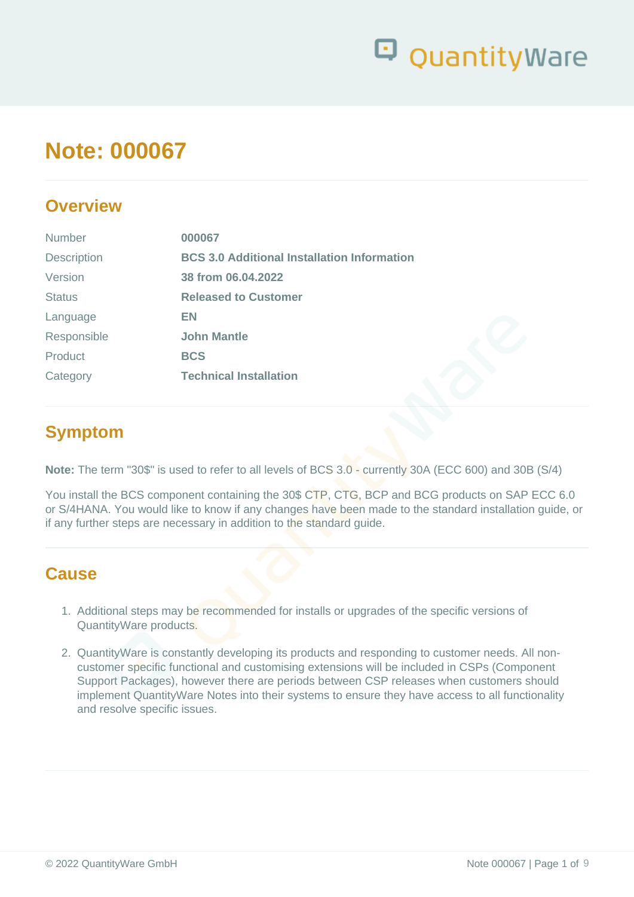

## **Note: 000067**

### **Overview**

| <b>Number</b>      | 000067                                             |
|--------------------|----------------------------------------------------|
| <b>Description</b> | <b>BCS 3.0 Additional Installation Information</b> |
| Version            | 38 from 06.04.2022                                 |
| <b>Status</b>      | <b>Released to Customer</b>                        |
| Language           | EN                                                 |
| Responsible        | <b>John Mantle</b>                                 |
| Product            | <b>BCS</b>                                         |
| Category           | <b>Technical Installation</b>                      |
|                    |                                                    |

## **Symptom**

**Note:** The term "30\$" is used to refer to all levels of BCS 3.0 - currently 30A (ECC 600) and 30B (S/4)

You install the BCS component containing the 30\$ CTP, CTG, BCP and BCG products on SAP ECC 6.0 or S/4HANA. You would like to know if any changes have been made to the standard installation guide, or if any further steps are necessary in addition to the standard guide.

### **Cause**

- 1. Additional steps may be recommended for installs or upgrades of the specific versions of QuantityWare products.
- 2. QuantityWare is constantly developing its products and responding to customer needs. All noncustomer specific functional and customising extensions will be included in CSPs (Component Support Packages), however there are periods between CSP releases when customers should implement QuantityWare Notes into their systems to ensure they have access to all functionality and resolve specific issues.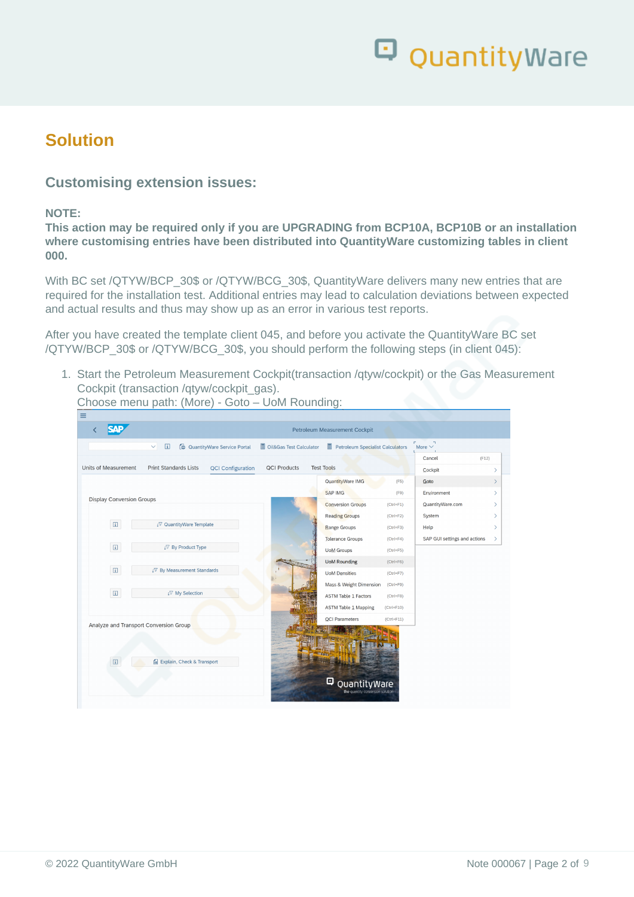

### **Solution**

#### **Customising extension issues:**

#### **NOTE:**

**This action may be required only if you are UPGRADING from BCP10A, BCP10B or an installation where customising entries have been distributed into QuantityWare customizing tables in client 000.**

With BC set /QTYW/BCP\_30\$ or /QTYW/BCG\_30\$, QuantityWare delivers many new entries that are required for the installation test. Additional entries may lead to calculation deviations between expected and actual results and thus may show up as an error in various test reports.

After you have created the template client 045, and before you activate the QuantityWare BC set /QTYW/BCP\_30\$ or /QTYW/BCG\_30\$, you should perform the following steps (in client 045):

1. Start the Petroleum Measurement Cockpit(transaction /qtyw/cockpit) or the Gas Measurement Cockpit (transaction /qtyw/cockpit\_gas).

Choose menu path: (More) - Goto – UoM Rounding:

|                                  |                                                           |                         | Petroleum Measurement Cockpit                         |                |                              |  |
|----------------------------------|-----------------------------------------------------------|-------------------------|-------------------------------------------------------|----------------|------------------------------|--|
|                                  | 団<br><b>@</b> QuantityWare Service Portal<br>$\checkmark$ | Oil&Gas Test Calculator | Petroleum Specialist Calculators                      |                | More $\vee$                  |  |
|                                  |                                                           |                         |                                                       |                | (F12)<br>Cancel              |  |
| Units of Measurement             | <b>Print Standards Lists</b><br><b>QCI Configuration</b>  | <b>QCI Products</b>     | <b>Test Tools</b>                                     |                | Cockpit                      |  |
|                                  |                                                           |                         | QuantityWare IMG                                      | (F5)           | Goto                         |  |
|                                  |                                                           |                         | <b>SAP IMG</b>                                        | (F9)           | Environment                  |  |
| <b>Display Conversion Groups</b> |                                                           |                         | <b>Conversion Groups</b>                              | $(Ctrl + F1)$  | QuantityWare.com             |  |
|                                  |                                                           |                         | <b>Reading Groups</b>                                 | $(Ctrl + F2)$  | System                       |  |
| $\Box$                           | √ QuantityWare Template                                   |                         | Range Groups                                          | $(Ctrl + F3)$  | Help                         |  |
|                                  |                                                           |                         | <b>Tolerance Groups</b>                               | $(Ctrl + F4)$  | SAP GUI settings and actions |  |
| $\boxed{\mathbf{i}}$             | " By Product Type                                         |                         | <b>UoM Groups</b>                                     | $(Ctrl + F5)$  |                              |  |
|                                  |                                                           |                         | <b>UoM Rounding</b>                                   | $(Ctrl + F6)$  |                              |  |
| $\Box$                           | i⊽ By Measurement Standards                               |                         | <b>UoM Densities</b>                                  | $(Ctrl + F7)$  |                              |  |
|                                  |                                                           |                         | Mass & Weight Dimension                               | $(Ctrl + F9)$  |                              |  |
| $\Box$                           | <b>/7 My Selection</b>                                    |                         | <b>ASTM Table 1 Factors</b>                           | $(Ctrl + F8)$  |                              |  |
|                                  |                                                           |                         | <b>ASTM Table 1 Mapping</b>                           | $(Ctrl + F10)$ |                              |  |
|                                  | Analyze and Transport Conversion Group                    |                         | <b>QCI Parameters</b>                                 | $(Ctrl + F11)$ |                              |  |
| 日                                | Explain, Check & Transport                                |                         | φ<br>QuantityWare<br>the quantity conversion solution |                |                              |  |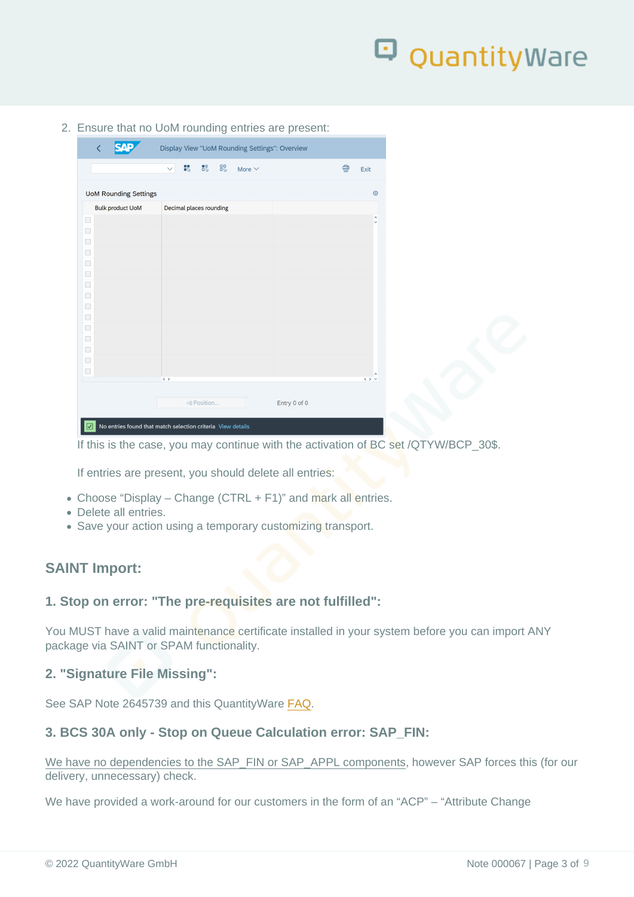2. Ensure that no UoM rounding entries are present:

If this is the case, you may continue with the activation of BC set /QTYW/BCP\_30\$.

If entries are present, you should delete all entries:

- Choose "Display Change (CTRL + F1)" and mark all entries.
- Delete all entries.
- Save your action using a temporary customizing transport.

SAINT Import:

1. Stop on error: "The pre-requisites are not fulfilled":

You MUST have a valid maintenance certificate installed in your system before you can import ANY package via SAINT or SPAM functionality.

2. "Signature File Missing":

See SAP Note 2645739 and this QuantityWare [FAQ](https://www.quantityware.com/faq/saint-and-spam-ocs-signature-file-missing/).

3. BCS 30A only - Stop on Queue Calculation error: SAP\_FIN:

We have no dependencies to the SAP\_FIN or SAP\_APPL components, however SAP forces this (for our delivery, unnecessary) check.

We have provided a work-around for our customers in the form of an "ACP" – "Attribute Change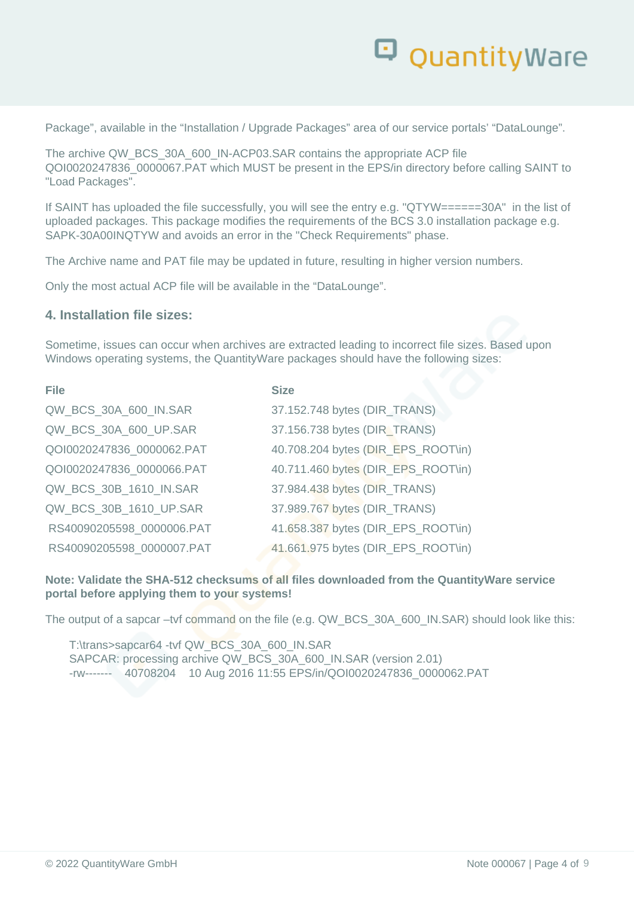

Package", available in the "Installation / Upgrade Packages" area of our service portals' "DataLounge".

The archive QW\_BCS\_30A\_600\_IN-ACP03.SAR contains the appropriate ACP file QOI0020247836\_0000067.PAT which MUST be present in the EPS/in directory before calling SAINT to "Load Packages".

If SAINT has uploaded the file successfully, you will see the entry e.g. "QTYW======30A" in the list of uploaded packages. This package modifies the requirements of the BCS 3.0 installation package e.g. SAPK-30A00INQTYW and avoids an error in the "Check Requirements" phase.

The Archive name and PAT file may be updated in future, resulting in higher version numbers.

Only the most actual ACP file will be available in the "DataLounge".

#### **4. Installation file sizes:**

Sometime, issues can occur when archives are extracted leading to incorrect file sizes. Based upon Windows operating systems, the QuantityWare packages should have the following sizes:

| <b>File</b>               | <b>Size</b>                        |
|---------------------------|------------------------------------|
| QW_BCS_30A_600_IN.SAR     | 37.152.748 bytes (DIR_TRANS)       |
| QW_BCS_30A_600_UP.SAR     | 37.156.738 bytes (DIR_TRANS)       |
| QOI0020247836_0000062.PAT | 40.708.204 bytes (DIR_EPS_ROOT\in) |
| QOI0020247836_0000066.PAT | 40.711.460 bytes (DIR_EPS_ROOT\in) |
| QW_BCS_30B_1610_IN.SAR    | 37.984.438 bytes (DIR_TRANS)       |
| QW_BCS_30B_1610_UP.SAR    | 37.989.767 bytes (DIR_TRANS)       |
| RS40090205598_0000006.PAT | 41.658.387 bytes (DIR_EPS_ROOT\in) |
| RS40090205598 0000007.PAT | 41.661.975 bytes (DIR_EPS_ROOT\in) |

**Note: Validate the SHA-512 checksums of all files downloaded from the QuantityWare service portal before applying them to your systems!**

The output of a sapcar –tvf command on the file (e.g. QW\_BCS\_30A\_600\_IN.SAR) should look like this:

T:\trans>sapcar64 -tvf QW\_BCS\_30A\_600\_IN.SAR SAPCAR: processing archive QW\_BCS\_30A\_600\_IN.SAR (version 2.01) -rw------- 40708204 10 Aug 2016 11:55 EPS/in/QOI0020247836\_0000062.PAT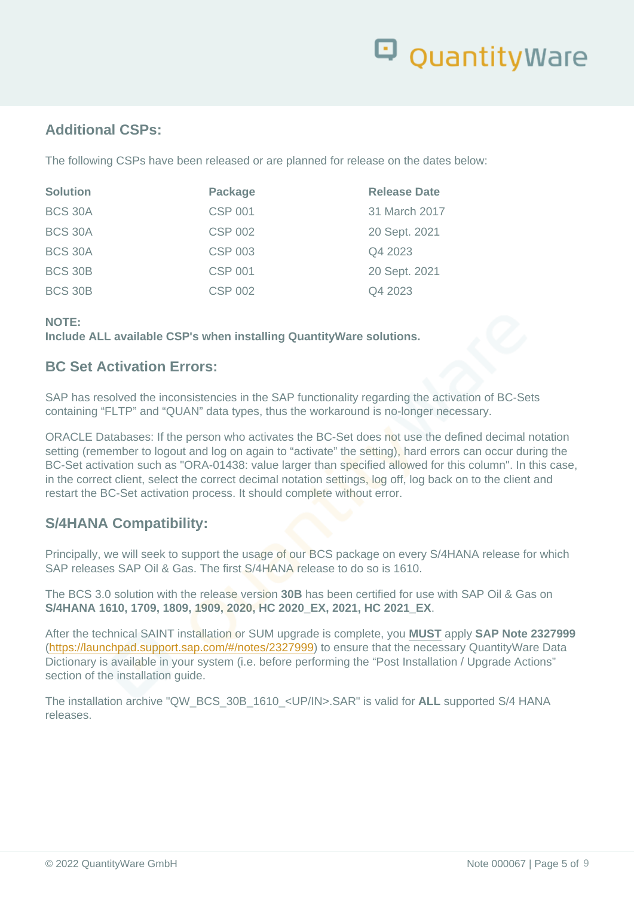#### Additional CSPs:

The following CSPs have been released or are planned for release on the dates below:

| Solution       | Package        | <b>Release Date</b> |
|----------------|----------------|---------------------|
| <b>BCS 30A</b> | <b>CSP 001</b> | 31 March 2017       |
| <b>BCS 30A</b> | <b>CSP 002</b> | 20 Sept. 2021       |
| <b>BCS 30A</b> | <b>CSP 003</b> | Q4 2023             |
| <b>BCS 30B</b> | <b>CSP 001</b> | 20 Sept. 2021       |
| <b>BCS 30B</b> | <b>CSP 002</b> | Q4 2023             |

NOTE:

Include ALL available CSP's when installing QuantityWare solutions.

#### BC Set Activation Errors:

SAP has resolved the inconsistencies in the SAP functionality regarding the activation of BC-Sets containing "FLTP" and "QUAN" data types, thus the workaround is no-longer necessary.

ORACLE Databases: If the person who activates the BC-Set does not use the defined decimal notation setting (remember to logout and log on again to "activate" the setting), hard errors can occur during the BC-Set activation such as "ORA-01438: value larger than specified allowed for this column". In this case, in the correct client, select the correct decimal notation settings, log off, log back on to the client and restart the BC-Set activation process. It should complete without error.

#### S/4HANA Compatibility:

Principally, we will seek to support the usage of our BCS package on every S/4HANA release for which SAP releases SAP Oil & Gas. The first S/4HANA release to do so is 1610.

The BCS 3.0 solution with the release version 30B has been certified for use with SAP Oil & Gas on S/4HANA 1610, 1709, 1809, 1909, 2020, HC 2020\_EX, 2021, HC 2021\_EX.

After the technical SAINT installation or SUM upgrade is complete, you MUST apply SAP Note 2327999 [\(https://launchpad.support.sap.com/#/notes/2327999\)](https://launchpad.support.sap.com/#/notes/2327999) to ensure that the necessary QuantityWare Data Dictionary is available in your system (i.e. before performing the "Post Installation / Upgrade Actions" section of the installation quide.

The installation archive "QW\_BCS\_30B\_1610\_<UP/IN>.SAR" is valid for ALL supported S/4 HANA releases.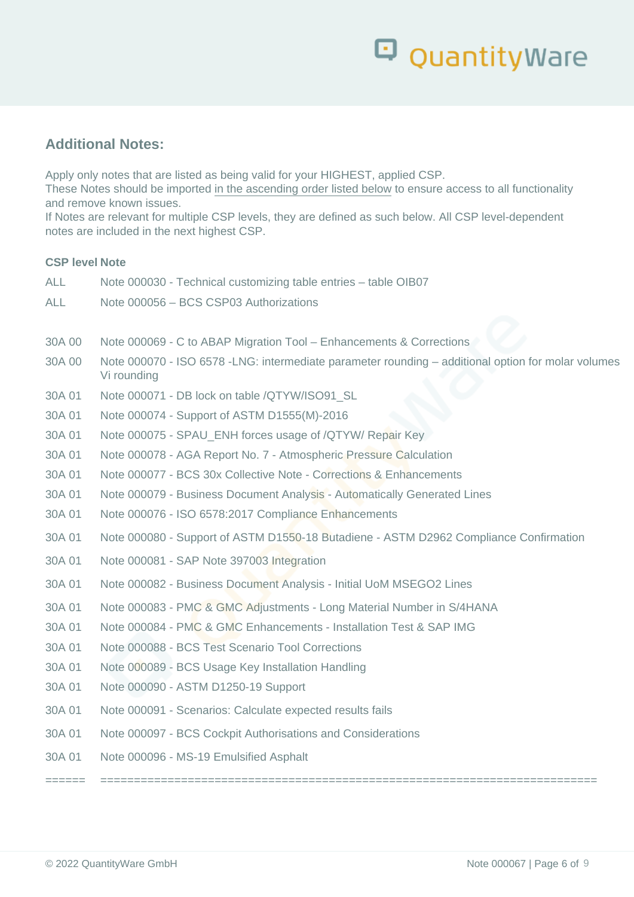# Q QuantityWare

#### **Additional Notes:**

Apply only notes that are listed as being valid for your HIGHEST, applied CSP.

These Notes should be imported in the ascending order listed below to ensure access to all functionality and remove known issues.

If Notes are relevant for multiple CSP levels, they are defined as such below. All CSP level-dependent notes are included in the next highest CSP.

#### **CSP level Note**

| <b>ALL</b> | Note 000030 - Technical customizing table entries - table OIB07                                                   |
|------------|-------------------------------------------------------------------------------------------------------------------|
| <b>ALL</b> | Note 000056 - BCS CSP03 Authorizations                                                                            |
|            |                                                                                                                   |
| 30A 00     | Note 000069 - C to ABAP Migration Tool - Enhancements & Corrections                                               |
| 30A 00     | Note 000070 - ISO 6578 -LNG: intermediate parameter rounding – additional option for molar volumes<br>Vi rounding |
| 30A 01     | Note 000071 - DB lock on table /QTYW/ISO91 SL                                                                     |
| 30A 01     | Note 000074 - Support of ASTM D1555(M)-2016                                                                       |
| 30A 01     | Note 000075 - SPAU_ENH forces usage of /QTYW/ Repair Key                                                          |
| 30A 01     | Note 000078 - AGA Report No. 7 - Atmospheric Pressure Calculation                                                 |
| 30A 01     | Note 000077 - BCS 30x Collective Note - Corrections & Enhancements                                                |
| 30A 01     | Note 000079 - Business Document Analysis - Automatically Generated Lines                                          |
| 30A 01     | Note 000076 - ISO 6578:2017 Compliance Enhancements                                                               |
| 30A 01     | Note 000080 - Support of ASTM D1550-18 Butadiene - ASTM D2962 Compliance Confirmation                             |
| 30A 01     | Note 000081 - SAP Note 397003 Integration                                                                         |
| 30A 01     | Note 000082 - Business Document Analysis - Initial UoM MSEGO2 Lines                                               |
| 30A 01     | Note 000083 - PMC & GMC Adjustments - Long Material Number in S/4HANA                                             |
| 30A 01     | Note 000084 - PMC & GMC Enhancements - Installation Test & SAP IMG                                                |
| 30A 01     | Note 000088 - BCS Test Scenario Tool Corrections                                                                  |
| 30A 01     | Note 000089 - BCS Usage Key Installation Handling                                                                 |
| 30A 01     | Note 000090 - ASTM D1250-19 Support                                                                               |
| 30A 01     | Note 000091 - Scenarios: Calculate expected results fails                                                         |
| 30A 01     | Note 000097 - BCS Cockpit Authorisations and Considerations                                                       |
| 30A 01     | Note 000096 - MS-19 Emulsified Asphalt                                                                            |
|            |                                                                                                                   |

====== ==========================================================================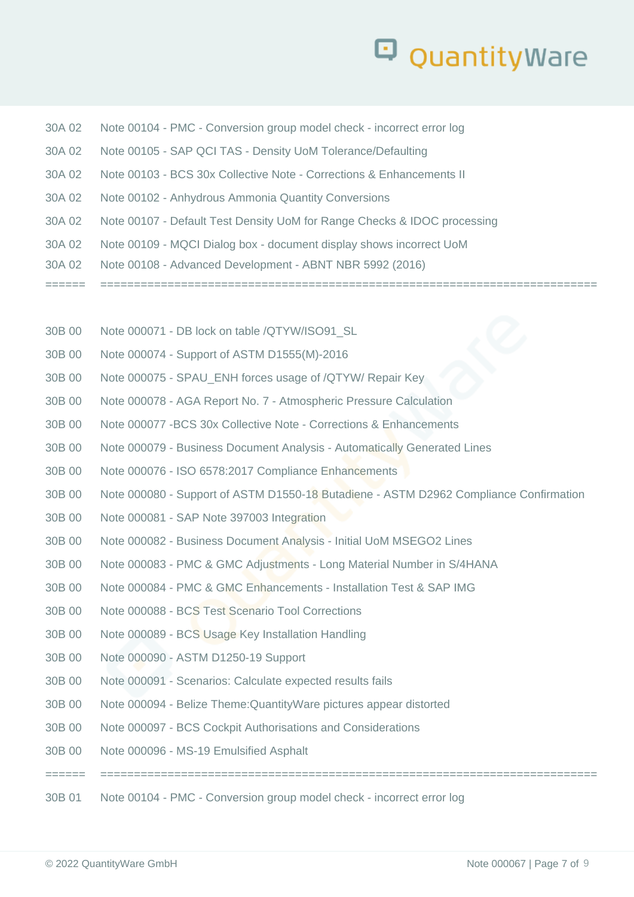## QuantityWare

| 30A 02 | Note 00104 - PMC - Conversion group model check - incorrect error log    |
|--------|--------------------------------------------------------------------------|
| 30A 02 | Note 00105 - SAP QCI TAS - Density UoM Tolerance/Defaulting              |
| 30A 02 | Note 00103 - BCS 30x Collective Note - Corrections & Enhancements II     |
| 30A 02 | Note 00102 - Anhydrous Ammonia Quantity Conversions                      |
| 30A 02 | Note 00107 - Default Test Density UoM for Range Checks & IDOC processing |
| 30A 02 | Note 00109 - MQCI Dialog box - document display shows incorrect UoM      |
| 30A 02 | Note 00108 - Advanced Development - ABNT NBR 5992 (2016)                 |
|        |                                                                          |

- 30B 00 Note 000071 DB lock on table /QTYW/ISO91\_SL
- 30B 00 Note 000074 Support of ASTM D1555(M)-2016
- 30B 00 Note 000075 SPAU\_ENH forces usage of /QTYW/ Repair Key
- 30B 00 Note 000078 AGA Report No. 7 Atmospheric Pressure Calculation
- 30B 00 Note 000077 -BCS 30x Collective Note Corrections & Enhancements
- 30B 00 Note 000079 Business Document Analysis Automatically Generated Lines
- 30B 00 Note 000076 ISO 6578:2017 Compliance Enhancements
- 30B 00 Note 000080 Support of ASTM D1550-18 Butadiene ASTM D2962 Compliance Confirmation

====== ==========================================================================

- 30B 00 Note 000081 SAP Note 397003 Integration
- 30B 00 Note 000082 Business Document Analysis Initial UoM MSEGO2 Lines
- 30B 00 Note 000083 PMC & GMC Adjustments Long Material Number in S/4HANA
- 30B 00 Note 000084 PMC & GMC Enhancements Installation Test & SAP IMG
- 30B 00 Note 000088 BCS Test Scenario Tool Corrections
- 30B 00 Note 000089 BCS Usage Key Installation Handling
- 30B 00 Note 000090 ASTM D1250-19 Support
- 30B 00 Note 000091 Scenarios: Calculate expected results fails
- 30B 00 Note 000094 Belize Theme:QuantityWare pictures appear distorted
- 30B 00 Note 000097 BCS Cockpit Authorisations and Considerations
- 30B 00 Note 000096 MS-19 Emulsified Asphalt

30B 01 Note 00104 - PMC - Conversion group model check - incorrect error log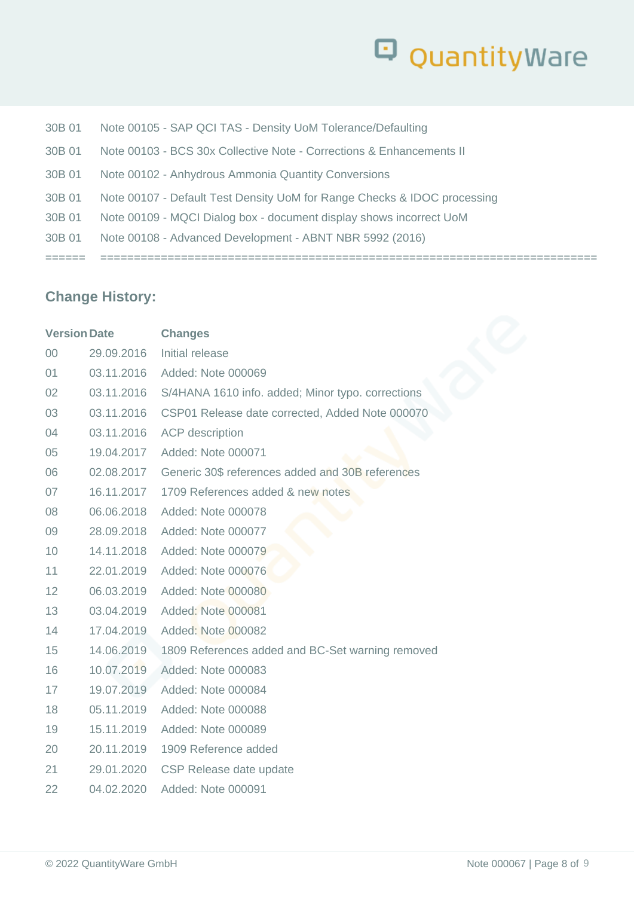# Q Quantity Ware

| 30B 01 | Note 00108 - Advanced Development - ABNT NBR 5992 (2016)                 |
|--------|--------------------------------------------------------------------------|
| 30B 01 | Note 00109 - MQCI Dialog box - document display shows incorrect UoM      |
| 30B 01 | Note 00107 - Default Test Density UoM for Range Checks & IDOC processing |
| 30B 01 | Note 00102 - Anhydrous Ammonia Quantity Conversions                      |
| 30B 01 | Note 00103 - BCS 30x Collective Note - Corrections & Enhancements II     |
| 30B 01 | Note 00105 - SAP QCI TAS - Density UoM Tolerance/Defaulting              |

### **Change History:**

| Initial release<br>00<br>29.09.2016<br>03.11.2016 Added: Note 000069<br>01<br>03.11.2016 S/4HANA 1610 info. added; Minor typo. corrections<br>02<br>03.11.2016<br>CSP01 Release date corrected, Added Note 000070<br>03<br>04<br>03.11.2016<br><b>ACP</b> description<br>19.04.2017<br>Added: Note 000071<br>05<br>02.08.2017 Generic 30\$ references added and 30B references<br>06<br>16.11.2017<br>07<br>1709 References added & new notes<br>06.06.2018<br>Added: Note 000078<br>08<br>28.09.2018 Added: Note 000077<br>09<br>10<br>14.11.2018<br>Added: Note 000079<br>11<br>22.01.2019<br>Added: Note 000076<br>12<br>06.03.2019<br>Added: Note 000080<br>13<br>03.04.2019<br>Added: Note 000081<br>14<br>17.04.2019 Added: Note 000082<br>14.06.2019<br>1809 References added and BC-Set warning removed<br>15<br>10.07.2019<br>16<br>Added: Note 000083<br>19.07.2019<br>17<br>Added: Note 000084<br>18<br>05.11.2019<br>Added: Note 000088<br>15.11.2019<br>Added: Note 000089<br>19<br>20.11.2019  1909 Reference added<br>20<br>21<br>29.01.2020<br>CSP Release date update<br>22<br>04.02.2020 Added: Note 000091 | <b>Version Date</b> | <b>Changes</b> |
|-------------------------------------------------------------------------------------------------------------------------------------------------------------------------------------------------------------------------------------------------------------------------------------------------------------------------------------------------------------------------------------------------------------------------------------------------------------------------------------------------------------------------------------------------------------------------------------------------------------------------------------------------------------------------------------------------------------------------------------------------------------------------------------------------------------------------------------------------------------------------------------------------------------------------------------------------------------------------------------------------------------------------------------------------------------------------------------------------------------------------------|---------------------|----------------|
|                                                                                                                                                                                                                                                                                                                                                                                                                                                                                                                                                                                                                                                                                                                                                                                                                                                                                                                                                                                                                                                                                                                               |                     |                |
|                                                                                                                                                                                                                                                                                                                                                                                                                                                                                                                                                                                                                                                                                                                                                                                                                                                                                                                                                                                                                                                                                                                               |                     |                |
|                                                                                                                                                                                                                                                                                                                                                                                                                                                                                                                                                                                                                                                                                                                                                                                                                                                                                                                                                                                                                                                                                                                               |                     |                |
|                                                                                                                                                                                                                                                                                                                                                                                                                                                                                                                                                                                                                                                                                                                                                                                                                                                                                                                                                                                                                                                                                                                               |                     |                |
|                                                                                                                                                                                                                                                                                                                                                                                                                                                                                                                                                                                                                                                                                                                                                                                                                                                                                                                                                                                                                                                                                                                               |                     |                |
|                                                                                                                                                                                                                                                                                                                                                                                                                                                                                                                                                                                                                                                                                                                                                                                                                                                                                                                                                                                                                                                                                                                               |                     |                |
|                                                                                                                                                                                                                                                                                                                                                                                                                                                                                                                                                                                                                                                                                                                                                                                                                                                                                                                                                                                                                                                                                                                               |                     |                |
|                                                                                                                                                                                                                                                                                                                                                                                                                                                                                                                                                                                                                                                                                                                                                                                                                                                                                                                                                                                                                                                                                                                               |                     |                |
|                                                                                                                                                                                                                                                                                                                                                                                                                                                                                                                                                                                                                                                                                                                                                                                                                                                                                                                                                                                                                                                                                                                               |                     |                |
|                                                                                                                                                                                                                                                                                                                                                                                                                                                                                                                                                                                                                                                                                                                                                                                                                                                                                                                                                                                                                                                                                                                               |                     |                |
|                                                                                                                                                                                                                                                                                                                                                                                                                                                                                                                                                                                                                                                                                                                                                                                                                                                                                                                                                                                                                                                                                                                               |                     |                |
|                                                                                                                                                                                                                                                                                                                                                                                                                                                                                                                                                                                                                                                                                                                                                                                                                                                                                                                                                                                                                                                                                                                               |                     |                |
|                                                                                                                                                                                                                                                                                                                                                                                                                                                                                                                                                                                                                                                                                                                                                                                                                                                                                                                                                                                                                                                                                                                               |                     |                |
|                                                                                                                                                                                                                                                                                                                                                                                                                                                                                                                                                                                                                                                                                                                                                                                                                                                                                                                                                                                                                                                                                                                               |                     |                |
|                                                                                                                                                                                                                                                                                                                                                                                                                                                                                                                                                                                                                                                                                                                                                                                                                                                                                                                                                                                                                                                                                                                               |                     |                |
|                                                                                                                                                                                                                                                                                                                                                                                                                                                                                                                                                                                                                                                                                                                                                                                                                                                                                                                                                                                                                                                                                                                               |                     |                |
|                                                                                                                                                                                                                                                                                                                                                                                                                                                                                                                                                                                                                                                                                                                                                                                                                                                                                                                                                                                                                                                                                                                               |                     |                |
|                                                                                                                                                                                                                                                                                                                                                                                                                                                                                                                                                                                                                                                                                                                                                                                                                                                                                                                                                                                                                                                                                                                               |                     |                |
|                                                                                                                                                                                                                                                                                                                                                                                                                                                                                                                                                                                                                                                                                                                                                                                                                                                                                                                                                                                                                                                                                                                               |                     |                |
|                                                                                                                                                                                                                                                                                                                                                                                                                                                                                                                                                                                                                                                                                                                                                                                                                                                                                                                                                                                                                                                                                                                               |                     |                |
|                                                                                                                                                                                                                                                                                                                                                                                                                                                                                                                                                                                                                                                                                                                                                                                                                                                                                                                                                                                                                                                                                                                               |                     |                |
|                                                                                                                                                                                                                                                                                                                                                                                                                                                                                                                                                                                                                                                                                                                                                                                                                                                                                                                                                                                                                                                                                                                               |                     |                |
|                                                                                                                                                                                                                                                                                                                                                                                                                                                                                                                                                                                                                                                                                                                                                                                                                                                                                                                                                                                                                                                                                                                               |                     |                |